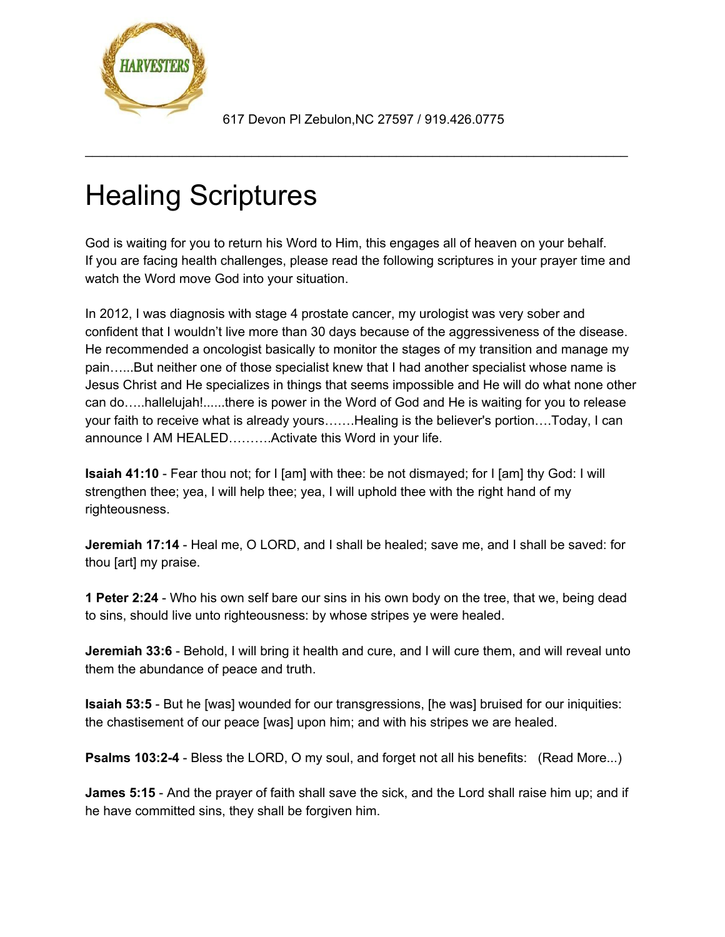

617 Devon Pl Zebulon,NC 27597 / 919.426.0775

\_\_\_\_\_\_\_\_\_\_\_\_\_\_\_\_\_\_\_\_\_\_\_\_\_\_\_\_\_\_\_\_\_\_\_\_\_\_\_\_\_\_\_\_\_\_\_\_\_\_\_\_\_\_\_\_\_\_\_\_\_\_\_\_\_\_\_\_\_\_\_\_\_\_\_

## Healing Scriptures

God is waiting for you to return his Word to Him, this engages all of heaven on your behalf. If you are facing health challenges, please read the following scriptures in your prayer time and watch the Word move God into your situation.

In 2012, I was diagnosis with stage 4 prostate cancer, my urologist was very sober and confident that I wouldn't live more than 30 days because of the aggressiveness of the disease. He recommended a oncologist basically to monitor the stages of my transition and manage my pain…...But neither one of those specialist knew that I had another specialist whose name is Jesus Christ and He specializes in things that seems impossible and He will do what none other can do…..hallelujah!......there is power in the Word of God and He is waiting for you to release your faith to receive what is already yours…….Healing is the believer's portion….Today, I can announce I AM HEALED……….Activate this Word in your life.

**Isaiah 41:10** - Fear thou not; for I [am] with thee: be not dismayed; for I [am] thy God: I will strengthen thee; yea, I will help thee; yea, I will uphold thee with the right hand of my righteousness.

**Jeremiah 17:14** - Heal me, O LORD, and I shall be healed; save me, and I shall be saved: for thou [art] my praise.

**1 Peter 2:24** - Who his own self bare our sins in his own body on the tree, that we, being dead to sins, should live unto righteousness: by whose stripes ye were healed.

**Jeremiah 33:6** - Behold, I will bring it health and cure, and I will cure them, and will reveal unto them the abundance of peace and truth.

**Isaiah 53:5** - But he [was] wounded for our transgressions, [he was] bruised for our iniquities: the chastisement of our peace [was] upon him; and with his stripes we are healed.

**Psalms 103:2-4** - Bless the LORD, O my soul, and forget not all his benefits: (Read More...)

**James 5:15** - And the prayer of faith shall save the sick, and the Lord shall raise him up; and if he have committed sins, they shall be forgiven him.